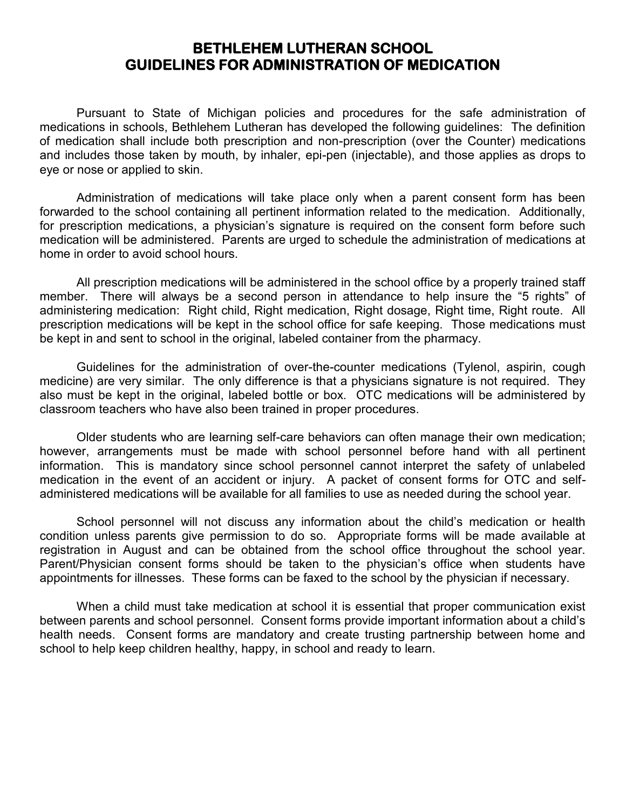## **BETHLEHEM LUTHERAN SCHOOL GUIDELINES FOR ADMINISTRATION OF MEDICATION**

Pursuant to State of Michigan policies and procedures for the safe administration of medications in schools, Bethlehem Lutheran has developed the following guidelines: The definition of medication shall include both prescription and non-prescription (over the Counter) medications and includes those taken by mouth, by inhaler, epi-pen (injectable), and those applies as drops to eye or nose or applied to skin.

Administration of medications will take place only when a parent consent form has been forwarded to the school containing all pertinent information related to the medication. Additionally, for prescription medications, a physician's signature is required on the consent form before such medication will be administered. Parents are urged to schedule the administration of medications at home in order to avoid school hours.

All prescription medications will be administered in the school office by a properly trained staff member. There will always be a second person in attendance to help insure the "5 rights" of administering medication: Right child, Right medication, Right dosage, Right time, Right route. All prescription medications will be kept in the school office for safe keeping. Those medications must be kept in and sent to school in the original, labeled container from the pharmacy.

Guidelines for the administration of over-the-counter medications (Tylenol, aspirin, cough medicine) are very similar. The only difference is that a physicians signature is not required. They also must be kept in the original, labeled bottle or box. OTC medications will be administered by classroom teachers who have also been trained in proper procedures.

Older students who are learning self-care behaviors can often manage their own medication; however, arrangements must be made with school personnel before hand with all pertinent information. This is mandatory since school personnel cannot interpret the safety of unlabeled medication in the event of an accident or injury. A packet of consent forms for OTC and selfadministered medications will be available for all families to use as needed during the school year.

School personnel will not discuss any information about the child's medication or health condition unless parents give permission to do so. Appropriate forms will be made available at registration in August and can be obtained from the school office throughout the school year. Parent/Physician consent forms should be taken to the physician's office when students have appointments for illnesses. These forms can be faxed to the school by the physician if necessary.

When a child must take medication at school it is essential that proper communication exist between parents and school personnel. Consent forms provide important information about a child's health needs. Consent forms are mandatory and create trusting partnership between home and school to help keep children healthy, happy, in school and ready to learn.